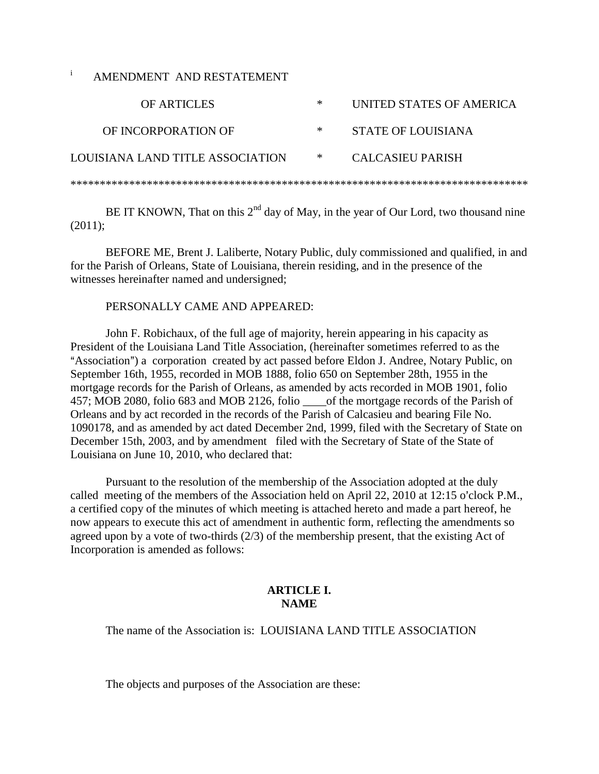i AMENDMENT AND RESTATEMENT

| OF ARTICLES                      | ∗ | UNITED STATES OF AMERICA |
|----------------------------------|---|--------------------------|
| OF INCORPORATION OF              | ∗ | STATE OF LOUISIANA       |
| LOUISIANA LAND TITLE ASSOCIATION | ∗ | CALCASIEU PARISH         |
|                                  |   |                          |

BE IT KNOWN, That on this  $2<sup>nd</sup>$  day of May, in the year of Our Lord, two thousand nine (2011);

BEFORE ME, Brent J. Laliberte, Notary Public, duly commissioned and qualified, in and for the Parish of Orleans, State of Louisiana, therein residing, and in the presence of the witnesses hereinafter named and undersigned;

#### PERSONALLY CAME AND APPEARED:

John F. Robichaux, of the full age of majority, herein appearing in his capacity as President of the Louisiana Land Title Association, (hereinafter sometimes referred to as the "Association") a corporation created by act passed before Eldon J. Andree, Notary Public, on September 16th, 1955, recorded in MOB 1888, folio 650 on September 28th, 1955 in the mortgage records for the Parish of Orleans, as amended by acts recorded in MOB 1901, folio 457; MOB 2080, folio 683 and MOB 2126, folio \_\_\_\_of the mortgage records of the Parish of Orleans and by act recorded in the records of the Parish of Calcasieu and bearing File No. 1090178, and as amended by act dated December 2nd, 1999, filed with the Secretary of State on December 15th, 2003, and by amendment filed with the Secretary of State of the State of Louisiana on June 10, 2010, who declared that:

Pursuant to the resolution of the membership of the Association adopted at the duly called meeting of the members of the Association held on April 22, 2010 at 12:15 o'clock P.M., a certified copy of the minutes of which meeting is attached hereto and made a part hereof, he now appears to execute this act of amendment in authentic form, reflecting the amendments so agreed upon by a vote of two-thirds (2/3) of the membership present, that the existing Act of Incorporation is amended as follows:

### **ARTICLE I. NAME**

The name of the Association is: LOUISIANA LAND TITLE ASSOCIATION

The objects and purposes of the Association are these: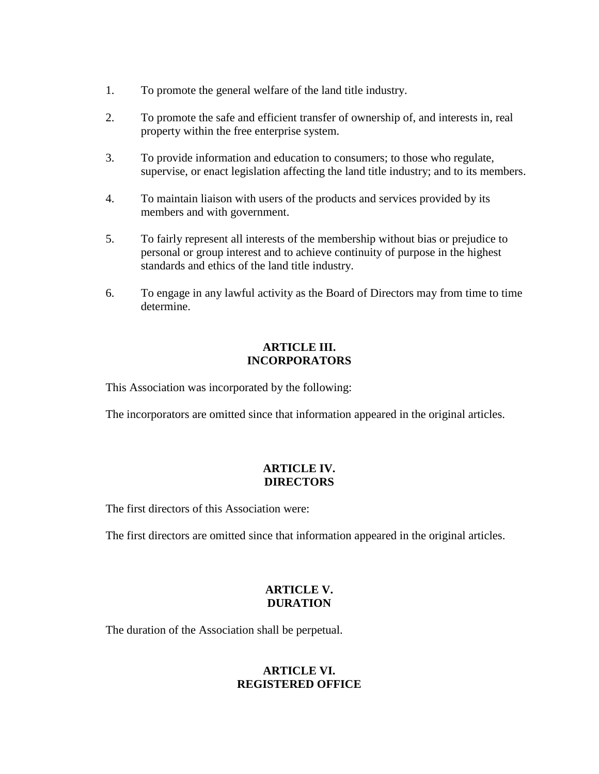- 1. To promote the general welfare of the land title industry.
- 2. To promote the safe and efficient transfer of ownership of, and interests in, real property within the free enterprise system.
- 3. To provide information and education to consumers; to those who regulate, supervise, or enact legislation affecting the land title industry; and to its members.
- 4. To maintain liaison with users of the products and services provided by its members and with government.
- 5. To fairly represent all interests of the membership without bias or prejudice to personal or group interest and to achieve continuity of purpose in the highest standards and ethics of the land title industry.
- 6. To engage in any lawful activity as the Board of Directors may from time to time determine.

## **ARTICLE III. INCORPORATORS**

This Association was incorporated by the following:

The incorporators are omitted since that information appeared in the original articles.

# **ARTICLE IV. DIRECTORS**

The first directors of this Association were:

The first directors are omitted since that information appeared in the original articles.

# **ARTICLE V. DURATION**

The duration of the Association shall be perpetual.

# **ARTICLE VI. REGISTERED OFFICE**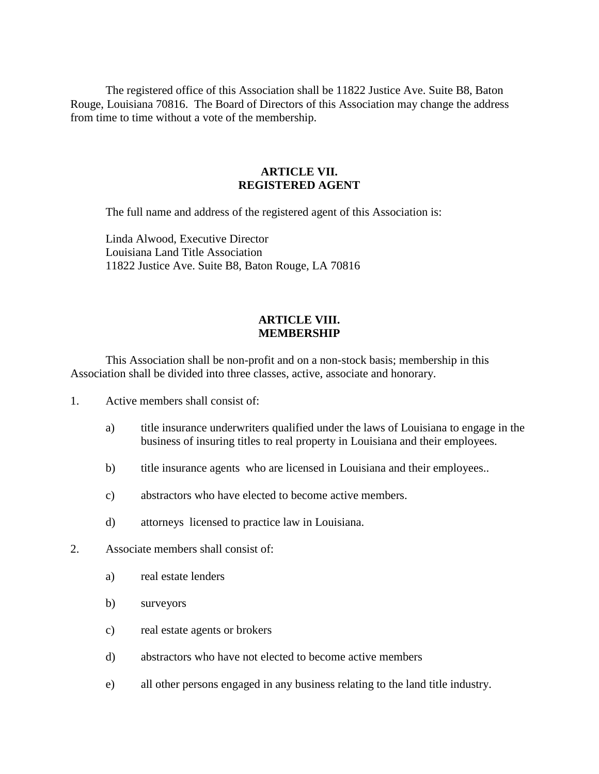The registered office of this Association shall be 11822 Justice Ave. Suite B8, Baton Rouge, Louisiana 70816. The Board of Directors of this Association may change the address from time to time without a vote of the membership.

### **ARTICLE VII. REGISTERED AGENT**

The full name and address of the registered agent of this Association is:

Linda Alwood, Executive Director Louisiana Land Title Association 11822 Justice Ave. Suite B8, Baton Rouge, LA 70816

#### **ARTICLE VIII. MEMBERSHIP**

This Association shall be non-profit and on a non-stock basis; membership in this Association shall be divided into three classes, active, associate and honorary.

- 1. Active members shall consist of:
	- a) title insurance underwriters qualified under the laws of Louisiana to engage in the business of insuring titles to real property in Louisiana and their employees.
	- b) title insurance agents who are licensed in Louisiana and their employees..
	- c) abstractors who have elected to become active members.
	- d) attorneys licensed to practice law in Louisiana.
- 2. Associate members shall consist of:
	- a) real estate lenders
	- b) surveyors
	- c) real estate agents or brokers
	- d) abstractors who have not elected to become active members
	- e) all other persons engaged in any business relating to the land title industry.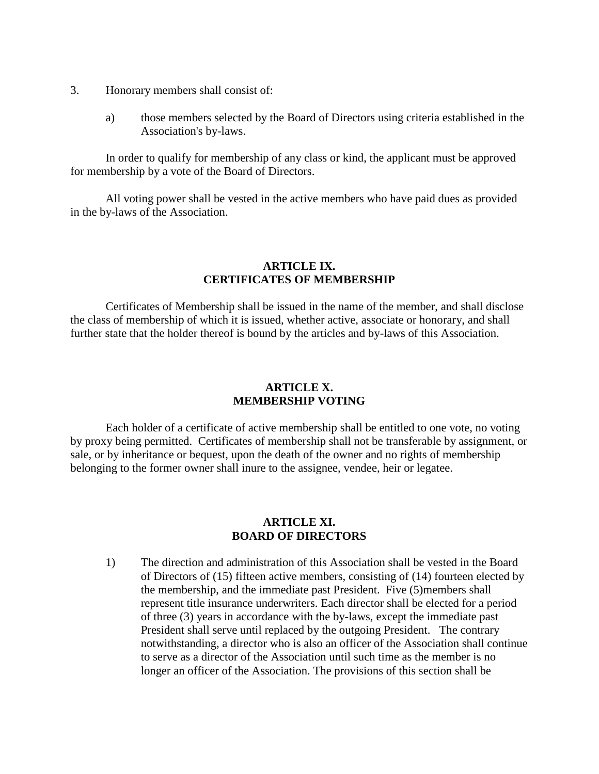- 3. Honorary members shall consist of:
	- a) those members selected by the Board of Directors using criteria established in the Association's by-laws.

In order to qualify for membership of any class or kind, the applicant must be approved for membership by a vote of the Board of Directors.

All voting power shall be vested in the active members who have paid dues as provided in the by-laws of the Association.

### **ARTICLE IX. CERTIFICATES OF MEMBERSHIP**

Certificates of Membership shall be issued in the name of the member, and shall disclose the class of membership of which it is issued, whether active, associate or honorary, and shall further state that the holder thereof is bound by the articles and by-laws of this Association.

#### **ARTICLE X. MEMBERSHIP VOTING**

Each holder of a certificate of active membership shall be entitled to one vote, no voting by proxy being permitted. Certificates of membership shall not be transferable by assignment, or sale, or by inheritance or bequest, upon the death of the owner and no rights of membership belonging to the former owner shall inure to the assignee, vendee, heir or legatee.

#### **ARTICLE XI. BOARD OF DIRECTORS**

1) The direction and administration of this Association shall be vested in the Board of Directors of (15) fifteen active members, consisting of (14) fourteen elected by the membership, and the immediate past President. Five (5)members shall represent title insurance underwriters. Each director shall be elected for a period of three (3) years in accordance with the by-laws, except the immediate past President shall serve until replaced by the outgoing President. The contrary notwithstanding, a director who is also an officer of the Association shall continue to serve as a director of the Association until such time as the member is no longer an officer of the Association. The provisions of this section shall be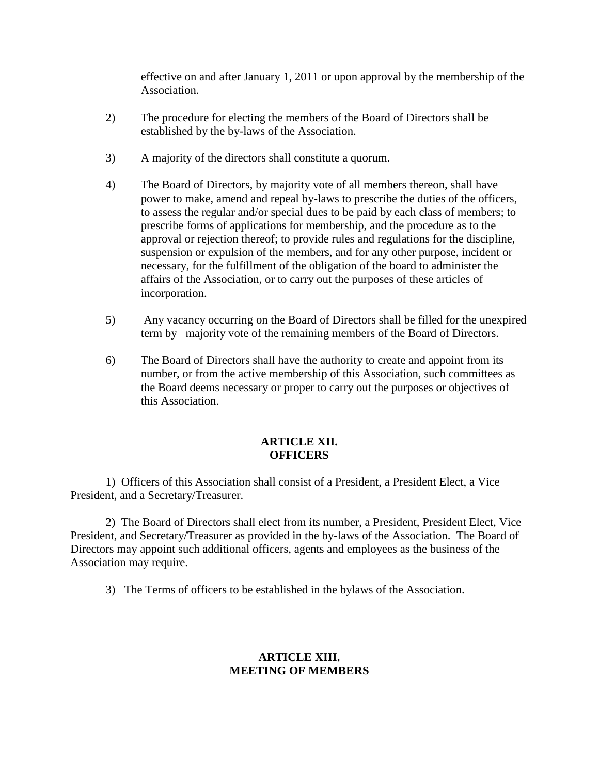effective on and after January 1, 2011 or upon approval by the membership of the Association.

- 2) The procedure for electing the members of the Board of Directors shall be established by the by-laws of the Association.
- 3) A majority of the directors shall constitute a quorum.
- 4) The Board of Directors, by majority vote of all members thereon, shall have power to make, amend and repeal by-laws to prescribe the duties of the officers, to assess the regular and/or special dues to be paid by each class of members; to prescribe forms of applications for membership, and the procedure as to the approval or rejection thereof; to provide rules and regulations for the discipline, suspension or expulsion of the members, and for any other purpose, incident or necessary, for the fulfillment of the obligation of the board to administer the affairs of the Association, or to carry out the purposes of these articles of incorporation.
- 5) Any vacancy occurring on the Board of Directors shall be filled for the unexpired term by majority vote of the remaining members of the Board of Directors.
- 6) The Board of Directors shall have the authority to create and appoint from its number, or from the active membership of this Association, such committees as the Board deems necessary or proper to carry out the purposes or objectives of this Association.

### **ARTICLE XII. OFFICERS**

1) Officers of this Association shall consist of a President, a President Elect, a Vice President, and a Secretary/Treasurer.

2) The Board of Directors shall elect from its number, a President, President Elect, Vice President, and Secretary/Treasurer as provided in the by-laws of the Association. The Board of Directors may appoint such additional officers, agents and employees as the business of the Association may require.

3) The Terms of officers to be established in the bylaws of the Association.

## **ARTICLE XIII. MEETING OF MEMBERS**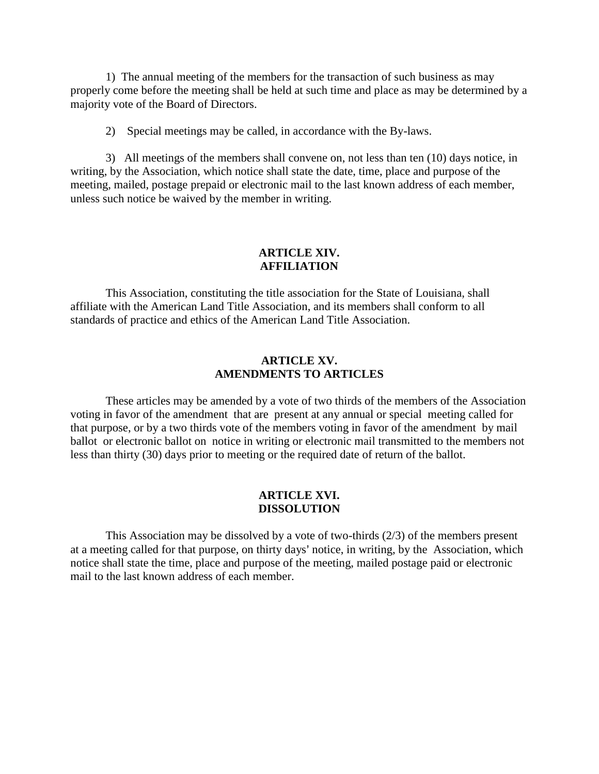1) The annual meeting of the members for the transaction of such business as may properly come before the meeting shall be held at such time and place as may be determined by a majority vote of the Board of Directors.

2) Special meetings may be called, in accordance with the By-laws.

3) All meetings of the members shall convene on, not less than ten (10) days notice, in writing, by the Association, which notice shall state the date, time, place and purpose of the meeting, mailed, postage prepaid or electronic mail to the last known address of each member, unless such notice be waived by the member in writing.

### **ARTICLE XIV. AFFILIATION**

This Association, constituting the title association for the State of Louisiana, shall affiliate with the American Land Title Association, and its members shall conform to all standards of practice and ethics of the American Land Title Association.

### **ARTICLE XV. AMENDMENTS TO ARTICLES**

These articles may be amended by a vote of two thirds of the members of the Association voting in favor of the amendment that are present at any annual or special meeting called for that purpose, or by a two thirds vote of the members voting in favor of the amendment by mail ballot or electronic ballot on notice in writing or electronic mail transmitted to the members not less than thirty (30) days prior to meeting or the required date of return of the ballot.

#### **ARTICLE XVI. DISSOLUTION**

This Association may be dissolved by a vote of two-thirds (2/3) of the members present at a meeting called for that purpose, on thirty days' notice, in writing, by the Association, which notice shall state the time, place and purpose of the meeting, mailed postage paid or electronic mail to the last known address of each member.